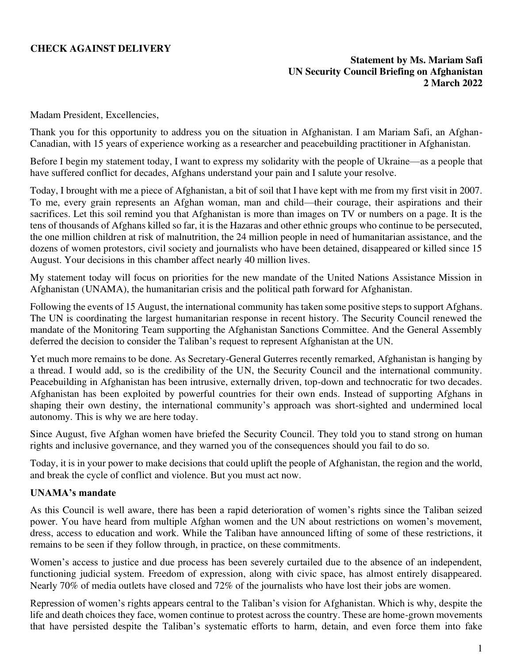## **CHECK AGAINST DELIVERY**

### **Statement by Ms. Mariam Safi UN Security Council Briefing on Afghanistan 2 March 2022**

Madam President, Excellencies,

Thank you for this opportunity to address you on the situation in Afghanistan. I am Mariam Safi, an Afghan-Canadian, with 15 years of experience working as a researcher and peacebuilding practitioner in Afghanistan.

Before I begin my statement today, I want to express my solidarity with the people of Ukraine—as a people that have suffered conflict for decades, Afghans understand your pain and I salute your resolve.

Today, I brought with me a piece of Afghanistan, a bit of soil that I have kept with me from my first visit in 2007. To me, every grain represents an Afghan woman, man and child—their courage, their aspirations and their sacrifices. Let this soil remind you that Afghanistan is more than images on TV or numbers on a page. It is the tens of thousands of Afghans killed so far, it is the Hazaras and other ethnic groups who continue to be persecuted, the one million children at risk of malnutrition, the 24 million people in need of humanitarian assistance, and the dozens of women protestors, civil society and journalists who have been detained, disappeared or killed since 15 August. Your decisions in this chamber affect nearly 40 million lives.

My statement today will focus on priorities for the new mandate of the United Nations Assistance Mission in Afghanistan (UNAMA), the humanitarian crisis and the political path forward for Afghanistan.

Following the events of 15 August, the international community has taken some positive steps to support Afghans. The UN is coordinating the largest humanitarian response in recent history. The Security Council renewed the mandate of the Monitoring Team supporting the Afghanistan Sanctions Committee. And the General Assembly deferred the decision to consider the Taliban's request to represent Afghanistan at the UN.

Yet much more remains to be done. As Secretary-General Guterres recently remarked, Afghanistan is hanging by a thread. I would add, so is the credibility of the UN, the Security Council and the international community. Peacebuilding in Afghanistan has been intrusive, externally driven, top-down and technocratic for two decades. Afghanistan has been exploited by powerful countries for their own ends. Instead of supporting Afghans in shaping their own destiny, the international community's approach was short-sighted and undermined local autonomy. This is why we are here today.

Since August, five Afghan women have briefed the Security Council. They told you to stand strong on human rights and inclusive governance, and they warned you of the consequences should you fail to do so.

Today, it is in your power to make decisions that could uplift the people of Afghanistan, the region and the world, and break the cycle of conflict and violence. But you must act now.

#### **UNAMA's mandate**

As this Council is well aware, there has been a rapid deterioration of women's rights since the Taliban seized power. You have heard from multiple Afghan women and the UN about restrictions on women's movement, dress, access to education and work. While the Taliban have announced lifting of some of these restrictions, it remains to be seen if they follow through, in practice, on these commitments.

Women's access to justice and due process has been severely curtailed due to the absence of an independent, functioning judicial system. Freedom of expression, along with civic space, has almost entirely disappeared. Nearly 70% of media outlets have closed and 72% of the journalists who have lost their jobs are women.

Repression of women's rights appears central to the Taliban's vision for Afghanistan. Which is why, despite the life and death choices they face, women continue to protest across the country. These are home-grown movements that have persisted despite the Taliban's systematic efforts to harm, detain, and even force them into fake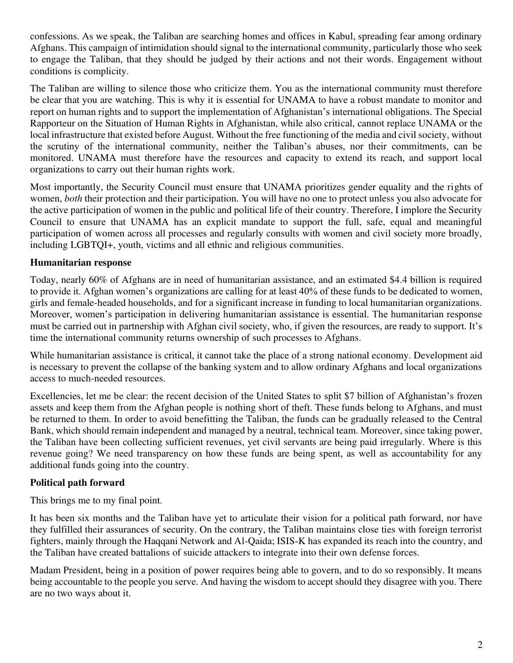confessions. As we speak, the Taliban are searching homes and offices in Kabul, spreading fear among ordinary Afghans. This campaign of intimidation should signal to the international community, particularly those who seek to engage the Taliban, that they should be judged by their actions and not their words. Engagement without conditions is complicity.

The Taliban are willing to silence those who criticize them. You as the international community must therefore be clear that you are watching. This is why it is essential for UNAMA to have a robust mandate to monitor and report on human rights and to support the implementation of Afghanistan's international obligations. The Special Rapporteur on the Situation of Human Rights in Afghanistan, while also critical, cannot replace UNAMA or the local infrastructure that existed before August. Without the free functioning of the media and civil society, without the scrutiny of the international community, neither the Taliban's abuses, nor their commitments, can be monitored. UNAMA must therefore have the resources and capacity to extend its reach, and support local organizations to carry out their human rights work.

Most importantly, the Security Council must ensure that UNAMA prioritizes gender equality and the rights of women, *both* their protection and their participation. You will have no one to protect unless you also advocate for the active participation of women in the public and political life of their country. Therefore, I implore the Security Council to ensure that UNAMA has an explicit mandate to support the full, safe, equal and meaningful participation of women across all processes and regularly consults with women and civil society more broadly, including LGBTQI+, youth, victims and all ethnic and religious communities.

## **Humanitarian response**

Today, nearly 60% of Afghans are in need of humanitarian assistance, and an estimated \$4.4 billion is required to provide it. Afghan women's organizations are calling for at least 40% of these funds to be dedicated to women, girls and female-headed households, and for a significant increase in funding to local humanitarian organizations. Moreover, women's participation in delivering humanitarian assistance is essential. The humanitarian response must be carried out in partnership with Afghan civil society, who, if given the resources, are ready to support. It's time the international community returns ownership of such processes to Afghans.

While humanitarian assistance is critical, it cannot take the place of a strong national economy. Development aid is necessary to prevent the collapse of the banking system and to allow ordinary Afghans and local organizations access to much-needed resources.

Excellencies, let me be clear: the recent decision of the United States to split \$7 billion of Afghanistan's frozen assets and keep them from the Afghan people is nothing short of theft. These funds belong to Afghans, and must be returned to them. In order to avoid benefitting the Taliban, the funds can be gradually released to the Central Bank, which should remain independent and managed by a neutral, technical team. Moreover, since taking power, the Taliban have been collecting sufficient revenues, yet civil servants are being paid irregularly. Where is this revenue going? We need transparency on how these funds are being spent, as well as accountability for any additional funds going into the country.

# **Political path forward**

This brings me to my final point.

It has been six months and the Taliban have yet to articulate their vision for a political path forward, nor have they fulfilled their assurances of security. On the contrary, the Taliban maintains close ties with foreign terrorist fighters, mainly through the Haqqani Network and Al-Qaida; ISIS-K has expanded its reach into the country, and the Taliban have created battalions of suicide attackers to integrate into their own defense forces.

Madam President, being in a position of power requires being able to govern, and to do so responsibly. It means being accountable to the people you serve. And having the wisdom to accept should they disagree with you. There are no two ways about it.